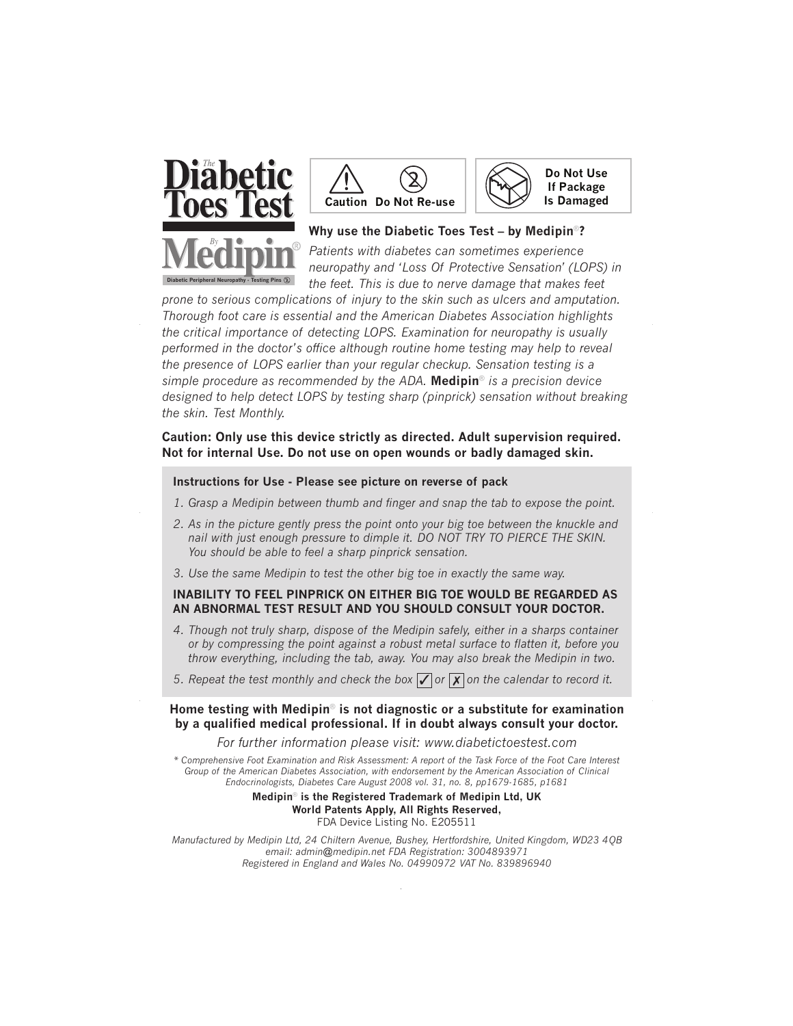





## **Why use the Diabetic Toes Test – by Medipin®?**

*Patients with diabetes can sometimes experience neuropathy and 'Loss Of Protective Sensation' (LOPS) in the feet. This is due to nerve damage that makes feet*

*prone to serious complications of injury to the skin such as ulcers and amputation. Thorough foot care is essential and the American Diabetes Association highlights the critical importance of detecting LOPS. Examination for neuropathy is usually performed in the doctor's office although routine home testing may help to reveal the presence of LOPS earlier than your regular checkup. Sensation testing is a simple procedure as recommended by the ADA.* **Medipin®** *is a precision device designed to help detect LOPS by testing sharp (pinprick) sensation without breaking the skin. Test Monthly.*

### **Caution: Only use this device strictly as directed. Adult supervision required. Not for internal Use. Do not use on open wounds or badly damaged skin.**

#### **Instructions for Use - Please see picture on reverse of pack**

- *1. Grasp a Medipin between thumb and finger and snap the tab to expose the point.*
- *2. As in the picture gently press the point onto your big toe between the knuckle and nail with just enough pressure to dimple it. DO NOT TRY TO PIERCE THE SKIN. You should be able to feel a sharp pinprick sensation.*
- *3. Use the same Medipin to test the other big toe in exactly the same way.*

#### **INABILITY TO FEEL PINPRICK ON EITHER BIG TOE WOULD BE REGARDED AS AN ABNORMAL TEST RESULT AND YOU SHOULD CONSULT YOUR DOCTOR.**

- *4. Though not truly sharp, dispose of the Medipin safely, either in a sharps container or by compressing the point against a robust metal surface to flatten it, before you throw everything, including the tab, away. You may also break the Medipin in two.*
- *5. Repeat the test monthly and check the box*  $\sqrt{\alpha}$  or  $\sqrt{\alpha}$  on the calendar to record it.

# **Home testing with Medipin® is not diagnostic or a substitute for examination by a qualified medical professional. If in doubt always consult your doctor.**

*For further information please visit: www.diabetictoestest.com*

*\* Comprehensive Foot Examination and Risk Assessment: A report of the Task Force of the Foot Care Interest Group of the American Diabetes Association, with endorsement by the American Association of Clinical Endocrinologists, Diabetes Care August 2008 vol. 31, no. 8, pp1679-1685, p1681*

> **Medipin® is the Registered Trademark of Medipin Ltd, UK World Patents Apply, All Rights Reserved,** FDA Device Listing No. E205511

*Manufactured by Medipin Ltd, 24 Chiltern Avenue, Bushey, Hertfordshire, United Kingdom, WD23 4QB email: admin@medipin.net FDA Registration: 3004893971 Registered in England and Wales No. 04990972 VAT No. 839896940*